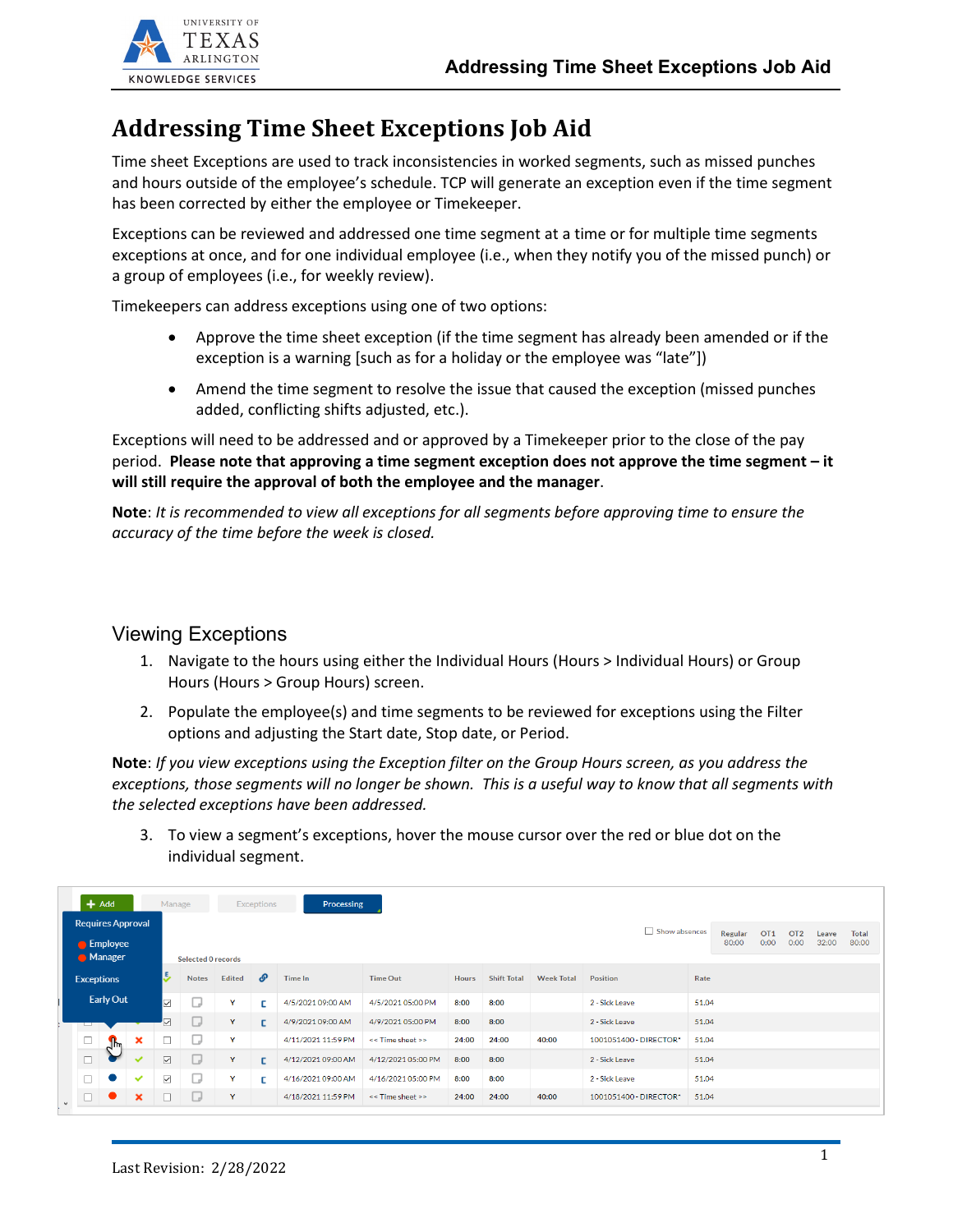

## **Addressing Time Sheet Exceptions Job Aid**

Time sheet Exceptions are used to track inconsistencies in worked segments, such as missed punches and hours outside of the employee's schedule. TCP will generate an exception even if the time segment has been corrected by either the employee or Timekeeper.

Exceptions can be reviewed and addressed one time segment at a time or for multiple time segments exceptions at once, and for one individual employee (i.e., when they notify you of the missed punch) or a group of employees (i.e., for weekly review).

Timekeepers can address exceptions using one of two options:

- Approve the time sheet exception (if the time segment has already been amended or if the exception is a warning [such as for a holiday or the employee was "late"])
- Amend the time segment to resolve the issue that caused the exception (missed punches added, conflicting shifts adjusted, etc.).

Exceptions will need to be addressed and or approved by a Timekeeper prior to the close of the pay period. **Please note that approving a time segment exception does not approve the time segment – it will still require the approval of both the employee and the manager**.

**Note**: *It is recommended to view all exceptions for all segments before approving time to ensure the accuracy of the time before the week is closed.*

## Viewing Exceptions

- 1. Navigate to the hours using either the Individual Hours (Hours > Individual Hours) or Group Hours (Hours > Group Hours) screen.
- 2. Populate the employee(s) and time segments to be reviewed for exceptions using the Filter options and adjusting the Start date, Stop date, or Period.

**Note**: *If you view exceptions using the Exception filter on the Group Hours screen, as you address the exceptions, those segments will no longer be shown. This is a useful way to know that all segments with the selected exceptions have been addressed.* 

3. To view a segment's exceptions, hover the mouse cursor over the red or blue dot on the individual segment.

|                                                               | $+$ Add          |                           |                            |                                                                                                                                                                 | Processing<br>Manage<br><b>Exceptions</b> |                |                   |                    |                    |                   |                 |                |                        |       |  |  |  |  |  |
|---------------------------------------------------------------|------------------|---------------------------|----------------------------|-----------------------------------------------------------------------------------------------------------------------------------------------------------------|-------------------------------------------|----------------|-------------------|--------------------|--------------------|-------------------|-----------------|----------------|------------------------|-------|--|--|--|--|--|
| <b>Requires Approval</b><br><b>Employee</b><br><b>Manager</b> |                  |                           |                            | Show absences<br>OT <sub>1</sub><br>Regular<br>OT <sub>2</sub><br><b>Total</b><br>Leave<br>0:00<br>32:00<br>80:00<br>80:00<br>0:00<br><b>Selected O records</b> |                                           |                |                   |                    |                    |                   |                 |                |                        |       |  |  |  |  |  |
| <b>Exceptions</b>                                             |                  | 5                         | <b>Notes</b>               | <b>Edited</b>                                                                                                                                                   | P                                         | <b>Time In</b> | <b>Time Out</b>   | <b>Hours</b>       | <b>Shift Total</b> | <b>Week Total</b> | <b>Position</b> | Rate           |                        |       |  |  |  |  |  |
|                                                               | <b>Early Out</b> |                           | $\overline{\triangledown}$ | ى                                                                                                                                                               | Y                                         | Е              | 4/5/2021 09:00 AM | 4/5/2021 05:00 PM  | 8:00               | 8:00              |                 | 2 - Sick Leave | 51.04                  |       |  |  |  |  |  |
|                                                               | ◡                |                           |                            | $\overline{\vee}$                                                                                                                                               | L                                         | Y              | г                 | 4/9/2021 09:00 AM  | 4/9/2021 05:00 PM  | 8:00              | 8:00            |                | 2 - Sick Leave         | 51.04 |  |  |  |  |  |
|                                                               | $\Box$           | $\mathbf{J}^{\mathbf{h}}$ | ×                          |                                                                                                                                                                 | U                                         | Y              |                   | 4/11/2021 11:59 PM | << Time sheet >>   | 24:00             | 24:00           | 40:00          | 1001051400 - DIRECTOR* | 51.04 |  |  |  |  |  |
|                                                               | $\Box$           |                           | $\tilde{\phantom{a}}$      | $\overline{\vee}$                                                                                                                                               | <b>Ua</b>                                 | Y              | $\Gamma$          | 4/12/2021 09:00 AM | 4/12/2021 05:00 PM | 8:00              | 8:00            |                | 2 - Sick Leave         | 51.04 |  |  |  |  |  |
|                                                               | $\Box$           | $\bullet$                 | $\checkmark$               | $\overline{\smile}$                                                                                                                                             | U                                         | Y              | Е                 | 4/16/2021 09:00 AM | 4/16/2021 05:00 PM | 8:00              | 8:00            |                | 2 - Sick Leave         | 51.04 |  |  |  |  |  |
| $\checkmark$                                                  | $\Box$           |                           | $\mathbf x$                |                                                                                                                                                                 | U                                         | $\mathbf{Y}$   |                   | 4/18/2021 11:59 PM | << Time sheet >>   | 24:00             | 24:00           | 40:00          | 1001051400 - DIRECTOR* | 51.04 |  |  |  |  |  |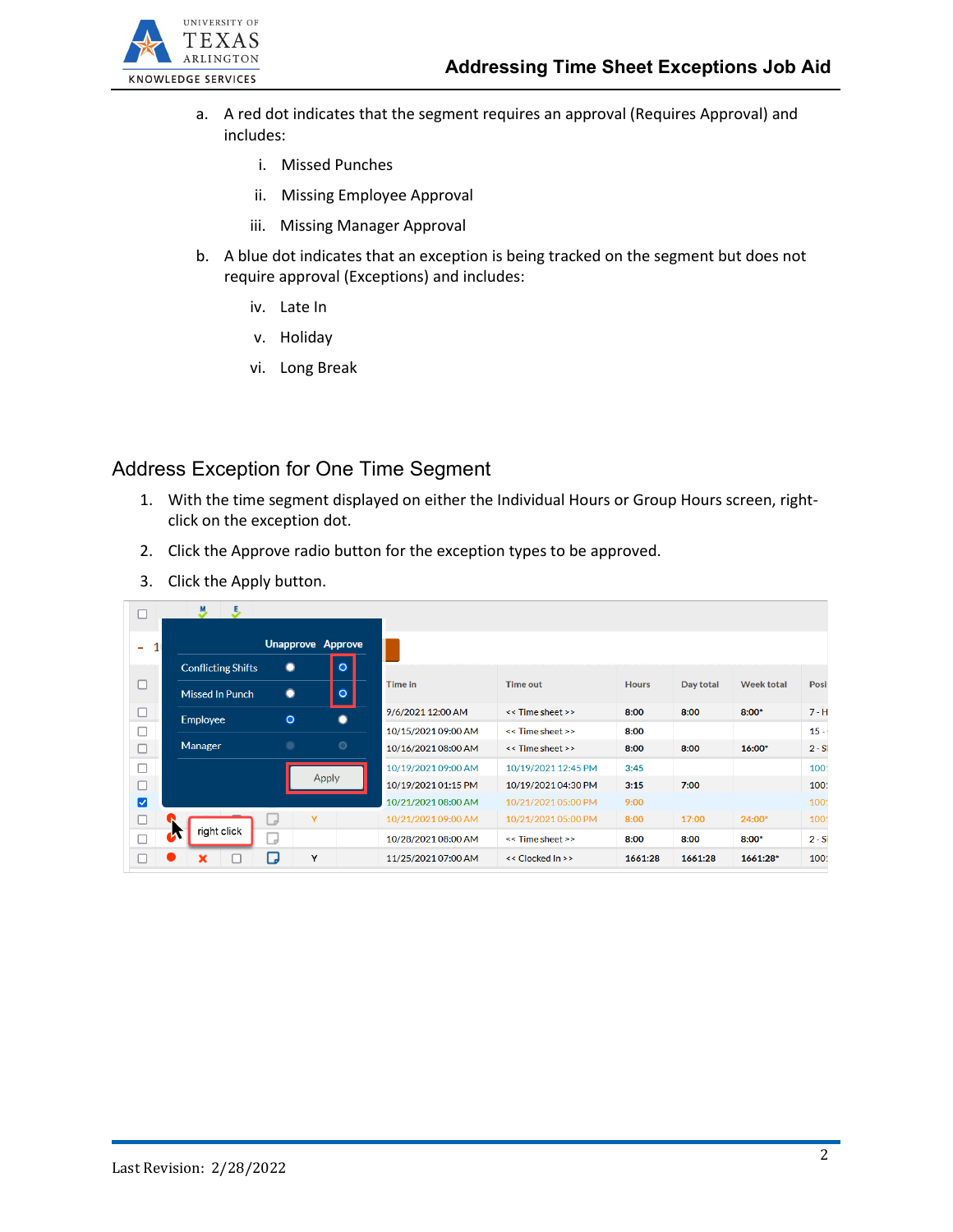

- a. A red dot indicates that the segment requires an approval (Requires Approval) and includes:
	- i. Missed Punches
	- ii. Missing Employee Approval
	- iii. Missing Manager Approval
- b. A blue dot indicates that an exception is being tracked on the segment but does not require approval (Exceptions) and includes:
	- iv. Late In
	- v. Holiday
	- vi. Long Break

## Address Exception for One Time Segment

- 1. With the time segment displayed on either the Individual Hours or Group Hours screen, rightclick on the exception dot.
- 2. Click the Approve radio button for the exception types to be approved.
- 3. Click the Apply button.

| L                    | - 5<br>M.                 |                          |              |                     |                     |              |           |                   |          |  |
|----------------------|---------------------------|--------------------------|--------------|---------------------|---------------------|--------------|-----------|-------------------|----------|--|
| 1(<br>٠              |                           | <b>Unapprove Approve</b> |              |                     |                     |              |           |                   |          |  |
|                      | <b>Conflicting Shifts</b> | $\bullet$                | $\bullet$    |                     |                     |              |           |                   |          |  |
| □                    | Missed In Punch           | $\bullet$                | $\circ$      | Time in             | <b>Time out</b>     | <b>Hours</b> | Day total | <b>Week total</b> | Posit    |  |
| $\Box$               | <b>Employee</b>           | $\circ$                  |              | 9/6/2021 12:00 AM   | << Time sheet >>    | 8:00         | 8:00      | $8:00*$           | $7 - H$  |  |
| П                    |                           |                          |              | 10/15/2021 09:00 AM | << Time sheet >>    | 8:00         |           |                   | $15 -$   |  |
| п                    | Manager                   | ۰                        | $\circ$      | 10/16/2021 08:00 AM | << Time sheet >>    | 8:00         | 8:00      | 16:00*            | $2 - Si$ |  |
|                      |                           |                          |              | 10/19/2021 09:00 AM | 10/19/2021 12:45 PM | 3:45         |           |                   | 100      |  |
|                      |                           |                          | <b>Apply</b> | 10/19/2021 01:15 PM | 10/19/2021 04:30 PM | 3:15         | 7:00      |                   | 100      |  |
| $\blacktriangledown$ |                           |                          |              | 10/21/2021 08:00 AM | 10/21/2021 05:00 PM | 9:00         |           |                   | 100      |  |
|                      |                           | Y<br>- 11                |              | 10/21/2021 09:00 AM | 10/21/2021 05:00 PM | 8:00         | 17:00     | 24:00*            | 100      |  |
|                      | right click               | $\overline{a}$           |              | 10/28/2021 08:00 AM | << Time sheet >>    | 8:00         | 8:00      | $8:00*$           | $2 - Si$ |  |
|                      |                           | ۳.<br>Y                  |              | 11/25/2021 07:00 AM | << Clocked In >>    | 1661:28      | 1661:28   | 1661:28*          | 100      |  |